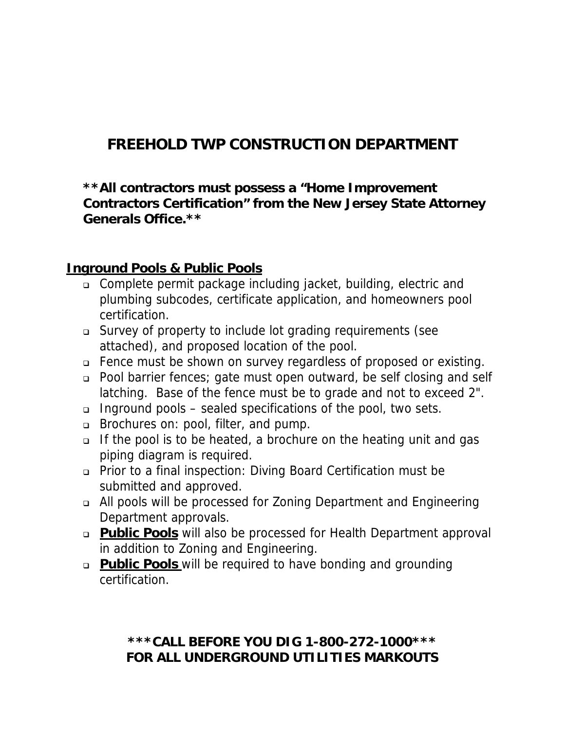# **FREEHOLD TWP CONSTRUCTION DEPARTMENT**

**\*\*All contractors must possess a "Home Improvement Contractors Certification" from the New Jersey State Attorney Generals Office.\*\*** 

#### **Inground Pools & Public Pools**

- Complete permit package including jacket, building, electric and plumbing subcodes, certificate application, and homeowners pool certification.
- Survey of property to include lot grading requirements (see attached), and proposed location of the pool.
- Fence must be shown on survey regardless of proposed or existing.
- Pool barrier fences; gate must open outward, be self closing and self latching. Base of the fence must be to grade and not to exceed 2".
- Inground pools sealed specifications of the pool, two sets.
- **Brochures on: pool, filter, and pump.**
- □ If the pool is to be heated, a brochure on the heating unit and gas piping diagram is required.
- Prior to a final inspection: Diving Board Certification must be submitted and approved.
- All pools will be processed for Zoning Department and Engineering Department approvals.
- **Public Pools** will also be processed for Health Department approval in addition to Zoning and Engineering.
- **Public Pools** will be required to have bonding and grounding certification.

### **\*\*\*CALL BEFORE YOU DIG 1-800-272-1000\*\*\* FOR ALL UNDERGROUND UTILITIES MARKOUTS**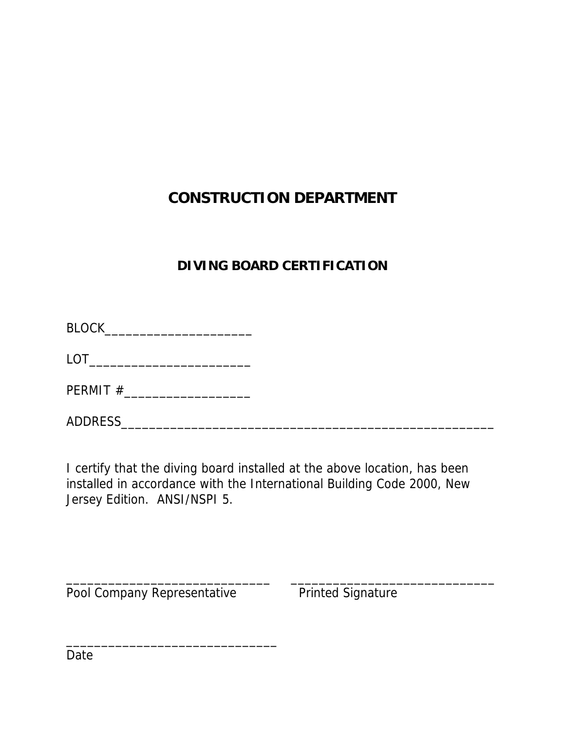# **CONSTRUCTION DEPARTMENT**

### **DIVING BOARD CERTIFICATION**

| <b>BLOCK</b> |  |  |
|--------------|--|--|
|              |  |  |

LOT\_\_\_\_\_\_\_\_\_\_\_\_\_\_\_\_\_\_\_\_\_\_\_

PERMIT #\_\_\_\_\_\_\_\_\_\_\_\_\_\_\_\_\_\_

ADDRESS\_\_\_\_\_\_\_\_\_\_\_\_\_\_\_\_\_\_\_\_\_\_\_\_\_\_\_\_\_\_\_\_\_\_\_\_\_\_\_\_\_\_\_\_\_\_\_\_\_\_\_\_\_

I certify that the diving board installed at the above location, has been installed in accordance with the International Building Code 2000, New Jersey Edition. ANSI/NSPI 5.

\_\_\_\_\_\_\_\_\_\_\_\_\_\_\_\_\_\_\_\_\_\_\_\_\_\_\_\_\_ \_\_\_\_\_\_\_\_\_\_\_\_\_\_\_\_\_\_\_\_\_\_\_\_\_\_\_\_\_

Pool Company Representative Printed Signature

\_\_\_\_\_\_\_\_\_\_\_\_\_\_\_\_\_\_\_\_\_\_\_\_\_\_\_\_\_\_

Date